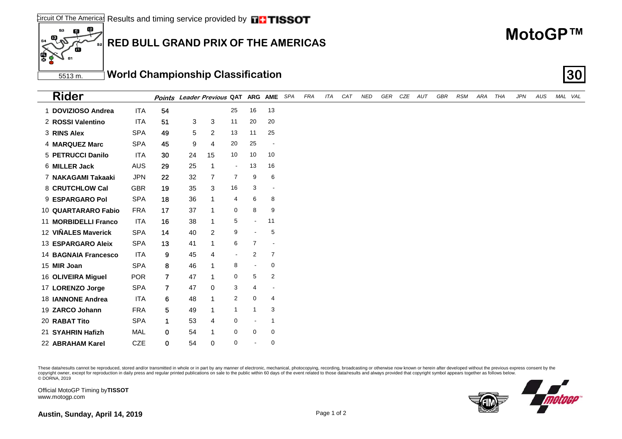#### Results and timing service provided by  $\Box$  TISSOT Circuit Of The Americas

## **RED BULL GRAND PRIX OF THE AMERICAS**

### 5513 m. **World Championship Classification 30**

| <b>Rider</b>                |            |                |    | Points Leader Previous QAT ARG AME SPA |                |                |                          | FRA | ITA | CAT | NED | GER CZE AUT | GBR | RSM | ARA THA | <b>JPN</b> | AUS | MAL VAL |
|-----------------------------|------------|----------------|----|----------------------------------------|----------------|----------------|--------------------------|-----|-----|-----|-----|-------------|-----|-----|---------|------------|-----|---------|
| 1 DOVIZIOSO Andrea          | <b>ITA</b> | 54             |    |                                        | 25             | 16             | 13                       |     |     |     |     |             |     |     |         |            |     |         |
| 2 ROSSI Valentino           | <b>ITA</b> | 51             | 3  | 3                                      | 11             | 20             | 20                       |     |     |     |     |             |     |     |         |            |     |         |
| 3 RINS Alex                 | <b>SPA</b> | 49             | 5  | $\overline{2}$                         | 13             | 11             | 25                       |     |     |     |     |             |     |     |         |            |     |         |
| <b>4 MARQUEZ Marc</b>       | <b>SPA</b> | 45             | 9  | 4                                      | 20             | 25             | $\overline{\phantom{a}}$ |     |     |     |     |             |     |     |         |            |     |         |
| 5 PETRUCCI Danilo           | ITA        | 30             | 24 | 15                                     | 10             | 10             | 10                       |     |     |     |     |             |     |     |         |            |     |         |
| 6 MILLER Jack               | <b>AUS</b> | 29             | 25 |                                        | $\blacksquare$ | 13             | 16                       |     |     |     |     |             |     |     |         |            |     |         |
| 7 NAKAGAMI Takaaki          | <b>JPN</b> | 22             | 32 | 7                                      | $\overline{7}$ | 9              | 6                        |     |     |     |     |             |     |     |         |            |     |         |
| 8 CRUTCHLOW Cal             | <b>GBR</b> | 19             | 35 | 3                                      | 16             | 3              | $\overline{\phantom{a}}$ |     |     |     |     |             |     |     |         |            |     |         |
| 9 ESPARGARO Pol             | <b>SPA</b> | 18             | 36 |                                        | 4              | 6              | 8                        |     |     |     |     |             |     |     |         |            |     |         |
| 10 QUARTARARO Fabio         | <b>FRA</b> | 17             | 37 |                                        | 0              | 8              | 9                        |     |     |     |     |             |     |     |         |            |     |         |
| 11 MORBIDELLI Franco        | ITA        | 16             | 38 |                                        | 5              | $\sim$         | 11                       |     |     |     |     |             |     |     |         |            |     |         |
| 12 VIÑALES Maverick         | <b>SPA</b> | 14             | 40 | 2                                      | 9              |                | 5                        |     |     |     |     |             |     |     |         |            |     |         |
| 13 ESPARGARO Aleix          | <b>SPA</b> | 13             | 41 |                                        | 6              | $\overline{7}$ | $\overline{\phantom{a}}$ |     |     |     |     |             |     |     |         |            |     |         |
| <b>14 BAGNAIA Francesco</b> | <b>ITA</b> | 9              | 45 | 4                                      | $\blacksquare$ | 2              | $\overline{7}$           |     |     |     |     |             |     |     |         |            |     |         |
| 15 MIR Joan                 | <b>SPA</b> | 8              | 46 |                                        | 8              | $\blacksquare$ | 0                        |     |     |     |     |             |     |     |         |            |     |         |
| 16 OLIVEIRA Miguel          | <b>POR</b> | $\overline{7}$ | 47 |                                        | 0              | 5              | $\overline{2}$           |     |     |     |     |             |     |     |         |            |     |         |
| 17 LORENZO Jorge            | <b>SPA</b> | $\overline{7}$ | 47 | 0                                      | 3              | 4              |                          |     |     |     |     |             |     |     |         |            |     |         |
| <b>18 IANNONE Andrea</b>    | ITA        | 6              | 48 |                                        | $\overline{c}$ | 0              | $\overline{4}$           |     |     |     |     |             |     |     |         |            |     |         |
| 19 ZARCO Johann             | <b>FRA</b> | 5              | 49 |                                        | $\mathbf{1}$   |                | 3                        |     |     |     |     |             |     |     |         |            |     |         |
| 20 RABAT Tito               | <b>SPA</b> | $\mathbf 1$    | 53 | 4                                      | 0              |                | -1                       |     |     |     |     |             |     |     |         |            |     |         |
| 21 SYAHRIN Hafizh           | <b>MAL</b> | $\mathbf 0$    | 54 |                                        | $\mathbf 0$    | 0              | 0                        |     |     |     |     |             |     |     |         |            |     |         |
| 22 ABRAHAM Karel            | <b>CZE</b> | 0              | 54 | 0                                      | 0              |                | $\mathbf 0$              |     |     |     |     |             |     |     |         |            |     |         |

These data/results cannot be reproduced, stored and/or transmitted in whole or in part by any manner of electronic, mechanical, photocopying, recording, broadcasting or otherwise now known or herein after developed without copyright owner, except for reproduction in daily press and regular printed publications on sale to the public within 60 days of the event related to those data/results and always provided that copyright symbol appears tog

Official MotoGP Timing by **TISSOT**www.motogp.com



**MotoGP™**

 $E$ 

ß

sa.